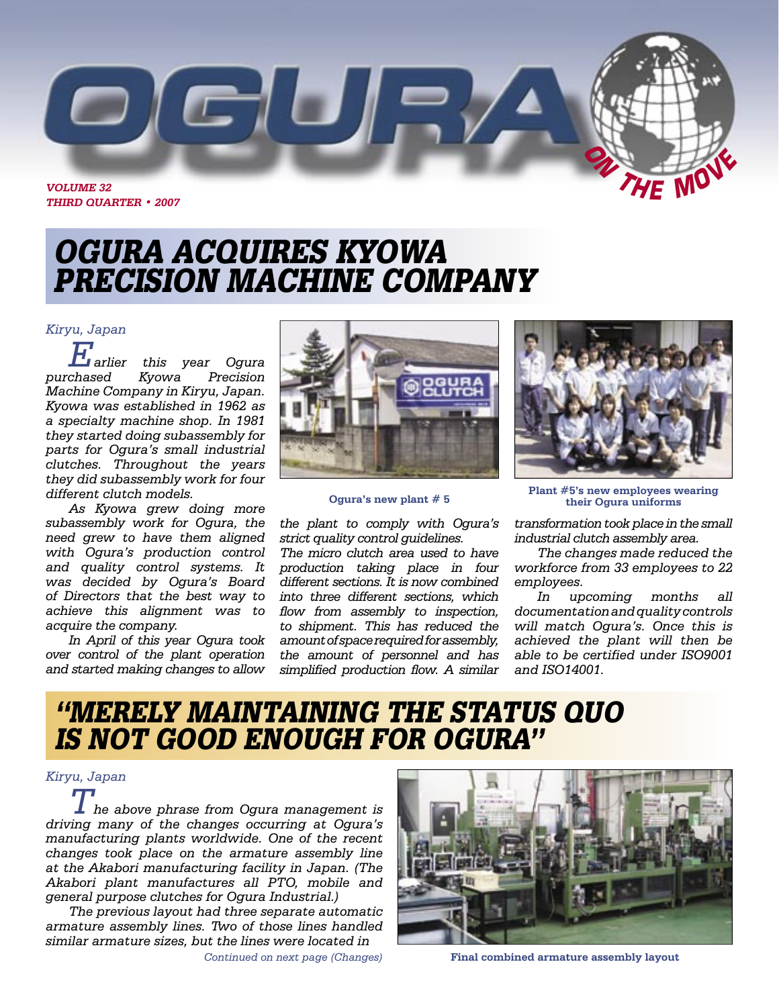

**THIRD QUARTER • 2007**

# OGURA ACQUIRES KYOWA PRECISION MACHINE COMPANY

#### *Kiryu, Japan*

*Earlier this year Ogura purchased Kyowa Precision Machine Company in Kiryu, Japan. Kyowa was established in 1962 as a specialty machine shop. In 1981 they started doing subassembly for parts for Ogura's small industrial clutches. Throughout the years they did subassembly work for four different clutch models.* 

*As Kyowa grew doing more subassembly work for Ogura, the need grew to have them aligned with Ogura's production control and quality control systems. It was decided by Ogura's Board of Directors that the best way to achieve this alignment was to acquire the company.* 

*In April of this year Ogura took over control of the plant operation and started making changes to allow* 



#### **Ogura's new plant # 5**

*the plant to comply with Ogura's strict quality control guidelines.* 

*The micro clutch area used to have production taking place in four different sections. It is now combined into three different sections, which flow from assembly to inspection, to shipment. This has reduced the amount of space required for assembly, the amount of personnel and has simplified production flow. A similar* 



**Plant #5's new employees wearing their Ogura uniforms**

*transformation took place in the small industrial clutch assembly area.*

*The changes made reduced the workforce from 33 employees to 22 employees.* 

*In upcoming months all documentation and quality controls will match Ogura's. Once this is achieved the plant will then be able to be certified under ISO9001 and ISO14001.*

# "MERELY MAINTAINING THE STATUS QUO IS NOT GOOD ENOUGH FOR OGURA"

### *Kiryu, Japan*

*The above phrase from Ogura management is driving many of the changes occurring at Ogura's manufacturing plants worldwide. One of the recent changes took place on the armature assembly line at the Akabori manufacturing facility in Japan. (The Akabori plant manufactures all PTO, mobile and general purpose clutches for Ogura Industrial.)*

*The previous layout had three separate automatic armature assembly lines. Two of those lines handled similar armature sizes, but the lines were located in* 



*Continued on next page (Changes)* **Final combined armature assembly layout**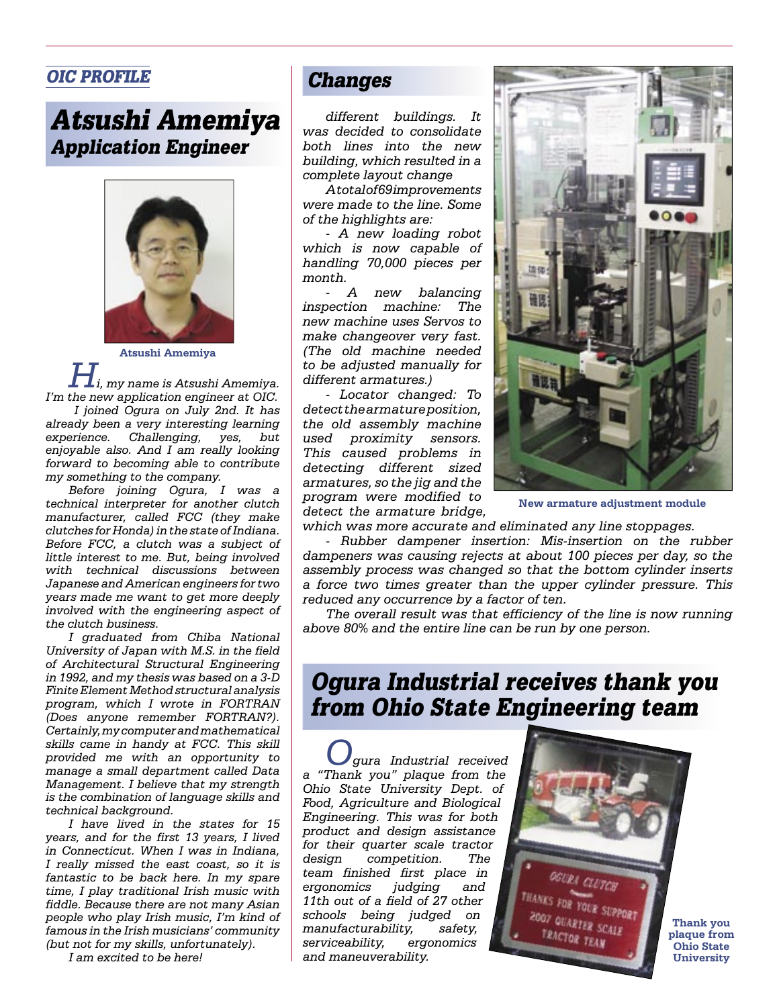## OIC PROFILE

# Atsushi Amemiya Application Engineer



**Atsushi Amemiya**

 $i$ , my name is Atsushi Amemiya. *I'm the new application engineer at OIC.* 

 *I joined Ogura on July 2nd. It has already been a very interesting learning experience. Challenging, yes, but enjoyable also. And I am really looking forward to becoming able to contribute my something to the company.*

*Before joining Ogura, I was a technical interpreter for another clutch manufacturer, called FCC (they make clutches for Honda) in the state of Indiana. Before FCC, a clutch was a subject of little interest to me. But, being involved with technical discussions between Japanese and American engineers for two years made me want to get more deeply involved with the engineering aspect of the clutch business.*

*I graduated from Chiba National University of Japan with M.S. in the field of Architectural Structural Engineering in 1992, and my thesis was based on a 3-D Finite Element Method structural analysis program, which I wrote in FORTRAN (Does anyone remember FORTRAN?). Certainly, my computer and mathematical skills came in handy at FCC. This skill provided me with an opportunity to manage a small department called Data Management. I believe that my strength is the combination of language skills and technical background.* 

*I have lived in the states for 15 years, and for the first 13 years, I lived in Connecticut. When I was in Indiana, I really missed the east coast, so it is fantastic to be back here. In my spare time, I play traditional Irish music with fiddle. Because there are not many Asian people who play Irish music, I'm kind of famous in the Irish musicians' community (but not for my skills, unfortunately).* 

*I am excited to be here!*

## Changes

*different buildings. It was decided to consolidate both lines into the new building, which resulted in a complete layout change* 

*A total of 69 improvements were made to the line. Some of the highlights are:* 

*- A new loading robot which is now capable of handling 70,000 pieces per month.*

*- A new balancing inspection machine: The new machine uses Servos to make changeover very fast. (The old machine needed to be adjusted manually for different armatures.)*

*- Locator changed: To detect the armature position, the old assembly machine used proximity sensors. This caused problems in detecting different sized armatures, so the jig and the program were modified to detect the armature bridge,* 



**New armature adjustment module**

*which was more accurate and eliminated any line stoppages.* 

*- Rubber dampener insertion: Mis-insertion on the rubber dampeners was causing rejects at about 100 pieces per day, so the assembly process was changed so that the bottom cylinder inserts a force two times greater than the upper cylinder pressure. This reduced any occurrence by a factor of ten.* 

*The overall result was that efficiency of the line is now running above 80% and the entire line can be run by one person.* 

# Ogura Industrial receives thank you from Ohio State Engineering team

*Ogura Industrial received a "Thank you" plaque from the Ohio State University Dept. of Food, Agriculture and Biological Engineering. This was for both product and design assistance for their quarter scale tractor design competition. The team finished first place in ergonomics judging and 11th out of a field of 27 other schools being judged on manufacturability, safety, serviceability, ergonomics and maneuverability.* 

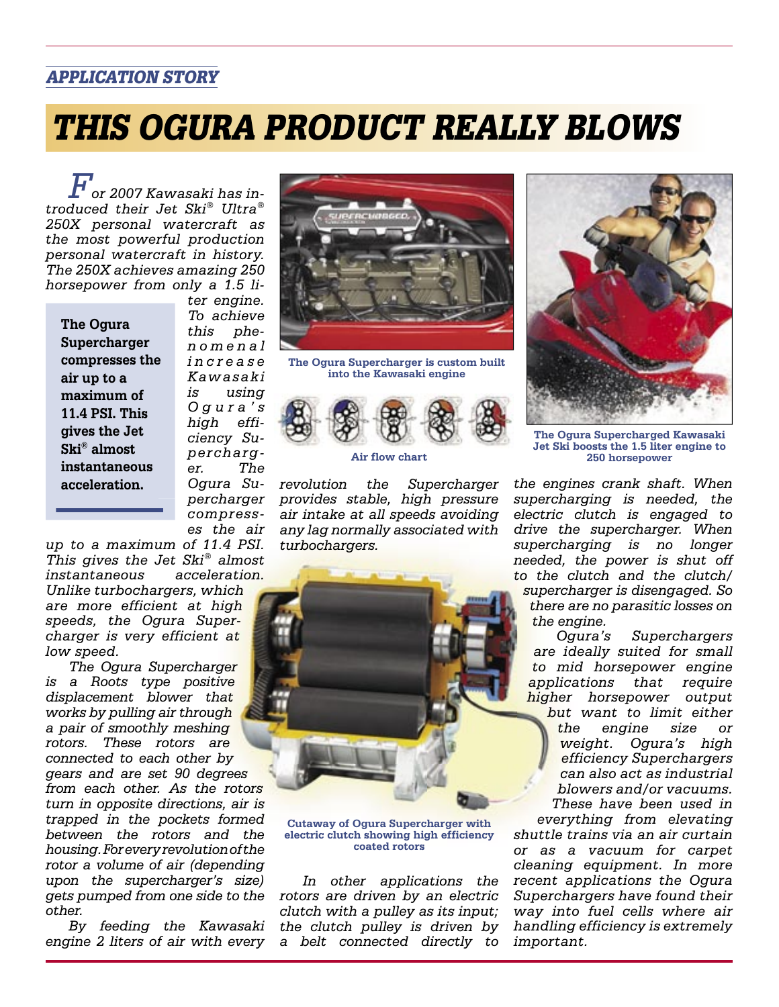## APPLICATION STORY

# THIS OGURA PRODUCT REALLY BLOWS

*For 2007 Kawasaki has introduced their Jet Ski® Ultra® 250X personal watercraft as the most powerful production personal watercraft in history. The 250X achieves amazing 250 horsepower from only a 1.5 li-*

**The Ogura Supercharger compresses the air up to a maximum of 11.4 PSI. This gives the Jet Ski® almost instantaneous acceleration.**

*ter engine. To achieve this phen o m e n a l i n c r e a s e Kawasaki is using O g u r a ' s high efficiency Supercharger. The Ogura Supercharger compresses the air* 



**The Ogura Supercharger is custom built into the Kawasaki engine**



*revolution the Supercharger provides stable, high pressure air intake at all speeds avoiding any lag normally associated with turbochargers.* 



*Unlike turbochargers, which are more efficient at high speeds, the Ogura Supercharger is very efficient at low speed.* 

*The Ogura Supercharger is a Roots type positive displacement blower that works by pulling air through a pair of smoothly meshing rotors. These rotors are connected to each other by gears and are set 90 degrees from each other. As the rotors turn in opposite directions, air is trapped in the pockets formed between the rotors and the housing. For every revolution of the rotor a volume of air (depending upon the supercharger's size) gets pumped from one side to the other.*

*By feeding the Kawasaki engine 2 liters of air with every* 



**Cutaway of Ogura Supercharger with electric clutch showing high efficiency coated rotors**

*In other applications the rotors are driven by an electric clutch with a pulley as its input; the clutch pulley is driven by a belt connected directly to* 



**The Ogura Supercharged Kawasaki Jet Ski boosts the 1.5 liter engine to Air flow chart 250 horsepower**

*the engines crank shaft. When supercharging is needed, the electric clutch is engaged to drive the supercharger. When supercharging is no longer needed, the power is shut off to the clutch and the clutch/ supercharger is disengaged. So there are no parasitic losses on the engine.*

*Ogura's Superchargers are ideally suited for small to mid horsepower engine applications that require higher horsepower output but want to limit either the engine size or weight. Ogura's high efficiency Superchargers can also act as industrial blowers and/or vacuums. These have been used in* 

*everything from elevating shuttle trains via an air curtain or as a vacuum for carpet cleaning equipment. In more recent applications the Ogura Superchargers have found their way into fuel cells where air handling efficiency is extremely important.*